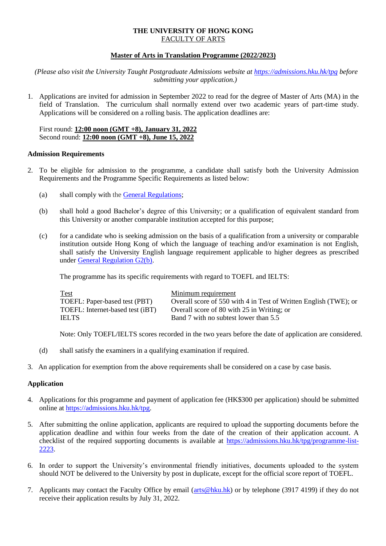# **THE UNIVERSITY OF HONG KONG** FACULTY OF ARTS

## **Master of Arts in Translation Programme (2022/2023)**

*(Please also visit the University Taught Postgraduate Admissions website at<https://admissions.hku.hk/tpg> before submitting your application.)*

1. Applications are invited for admission in September 2022 to read for the degree of Master of Arts (MA) in the field of Translation. The curriculum shall normally extend over two academic years of part-time study. Applications will be considered on a rolling basis. The application deadlines are:

First round: **12:00 noon (GMT +8), January 31, 2022** Second round: **12:00 noon (GMT +8), June 15, 2022**

#### **Admission Requirements**

- 2. To be eligible for admission to the programme, a candidate shall satisfy both the University Admission Requirements and the Programme Specific Requirements as listed below:
	- (a) shall comply with the [General Regulations;](https://www4.hku.hk/pubunit/calendar/2020-2021/1591-general-regulations)
	- (b) shall hold a good Bachelor's degree of this University; or a qualification of equivalent standard from this University or another comparable institution accepted for this purpose;
	- (c) for a candidate who is seeking admission on the basis of a qualification from a university or comparable institution outside Hong Kong of which the language of teaching and/or examination is not English, shall satisfy the University English language requirement applicable to higher degrees as prescribed under [General Regulation G2\(b\).](https://www4.hku.hk/pubunit/calendar/2020-2021/1591-general-regulations)

The programme has its specific requirements with regard to TOEFL and IELTS:

| <b>Test</b>                      | Minimum requirement                                              |
|----------------------------------|------------------------------------------------------------------|
| TOEFL: Paper-based test (PBT)    | Overall score of 550 with 4 in Test of Written English (TWE); or |
| TOEFL: Internet-based test (iBT) | Overall score of 80 with 25 in Writing; or                       |
| <b>IELTS</b>                     | Band 7 with no subtest lower than 5.5                            |

Note: Only TOEFL/IELTS scores recorded in the two years before the date of application are considered.

- (d) shall satisfy the examiners in a qualifying examination if required.
- 3. An application for exemption from the above requirements shall be considered on a case by case basis.

#### **Application**

- 4. Applications for this programme and payment of application fee (HK\$300 per application) should be submitted online at [https://admissions.hku.hk/tpg.](https://www.admissions.hku.hk/tpg)
- 5. After submitting the online application, applicants are required to upload the supporting documents before the application deadline and within four weeks from the date of the creation of their application account. A checklist of the required supporting documents is available at [https://admissions.hku.hk/tpg/programme-list-](https://admissions.hku.hk/tpg/programme-list-2223)[2223.](https://admissions.hku.hk/tpg/programme-list-2223)
- 6. In order to support the University's environmental friendly initiatives, documents uploaded to the system should NOT be delivered to the University by post in duplicate, except for the official score report of TOEFL.
- 7. Applicants may contact the Faculty Office by email [\(arts@hku.hk\)](mailto:arts@hku.hk) or by telephone (3917 4199) if they do not receive their application results by July 31, 2022.